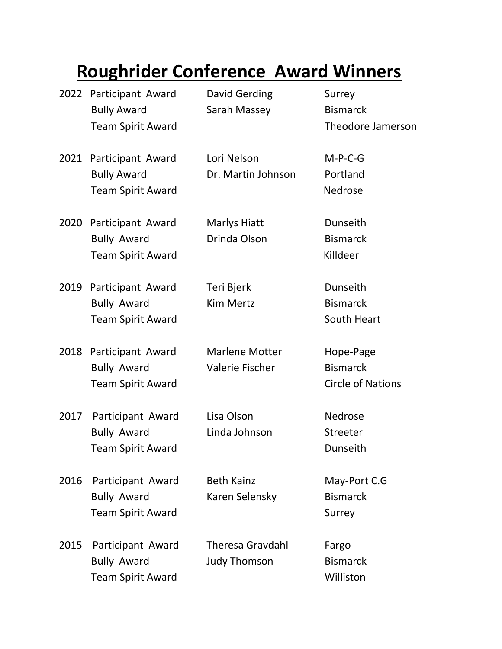## **Roughrider Conference Award Winners**

|      | 2022 Participant Award<br><b>Bully Award</b><br><b>Team Spirit Award</b> | David Gerding<br>Sarah Massey                   | Surrey<br><b>Bismarck</b><br><b>Theodore Jamerson</b>    |
|------|--------------------------------------------------------------------------|-------------------------------------------------|----------------------------------------------------------|
|      | 2021 Participant Award<br><b>Bully Award</b><br><b>Team Spirit Award</b> | Lori Nelson<br>Dr. Martin Johnson               | $M-P-C-G$<br>Portland<br>Nedrose                         |
| 2020 | Participant Award<br><b>Bully Award</b><br><b>Team Spirit Award</b>      | <b>Marlys Hiatt</b><br>Drinda Olson             | Dunseith<br><b>Bismarck</b><br>Killdeer                  |
| 2019 | Participant Award<br><b>Bully Award</b><br><b>Team Spirit Award</b>      | Teri Bjerk<br><b>Kim Mertz</b>                  | Dunseith<br><b>Bismarck</b><br>South Heart               |
| 2018 | Participant Award<br><b>Bully Award</b><br><b>Team Spirit Award</b>      | <b>Marlene Motter</b><br><b>Valerie Fischer</b> | Hope-Page<br><b>Bismarck</b><br><b>Circle of Nations</b> |
| 2017 | Participant Award<br><b>Bully Award</b><br><b>Team Spirit Award</b>      | Lisa Olson<br>Linda Johnson                     | Nedrose<br>Streeter<br>Dunseith                          |
| 2016 | Participant Award<br><b>Bully Award</b><br><b>Team Spirit Award</b>      | <b>Beth Kainz</b><br>Karen Selensky             | May-Port C.G<br><b>Bismarck</b><br>Surrey                |
| 2015 | Participant Award<br><b>Bully Award</b><br><b>Team Spirit Award</b>      | <b>Theresa Gravdahl</b><br><b>Judy Thomson</b>  | Fargo<br><b>Bismarck</b><br>Williston                    |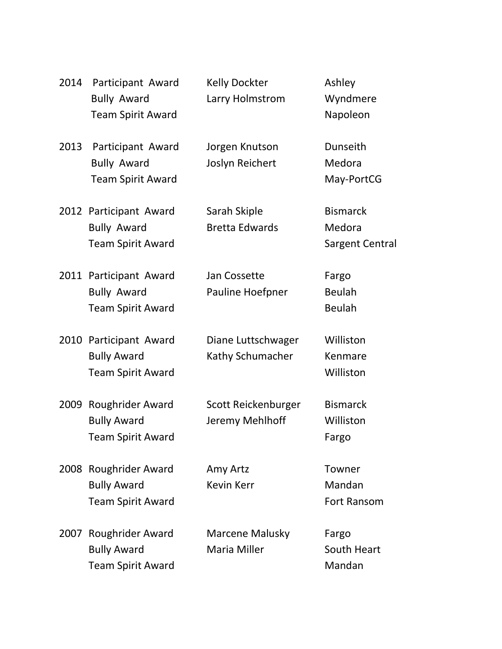| 2014 | Participant Award<br><b>Bully Award</b><br><b>Team Spirit Award</b>      | <b>Kelly Dockter</b><br>Larry Holmstrom | Ashley<br>Wyndmere<br>Napoleon                      |
|------|--------------------------------------------------------------------------|-----------------------------------------|-----------------------------------------------------|
| 2013 | Participant Award<br><b>Bully Award</b><br><b>Team Spirit Award</b>      | Jorgen Knutson<br>Joslyn Reichert       | Dunseith<br>Medora<br>May-PortCG                    |
|      | 2012 Participant Award<br><b>Bully Award</b><br><b>Team Spirit Award</b> | Sarah Skiple<br><b>Bretta Edwards</b>   | <b>Bismarck</b><br>Medora<br><b>Sargent Central</b> |
|      | 2011 Participant Award<br><b>Bully Award</b><br><b>Team Spirit Award</b> | Jan Cossette<br>Pauline Hoefpner        | Fargo<br><b>Beulah</b><br><b>Beulah</b>             |
|      | 2010 Participant Award<br><b>Bully Award</b><br><b>Team Spirit Award</b> | Diane Luttschwager<br>Kathy Schumacher  | Williston<br>Kenmare<br>Williston                   |
|      | 2009 Roughrider Award<br><b>Bully Award</b><br><b>Team Spirit Award</b>  | Scott Reickenburger<br>Jeremy Mehlhoff  | <b>Bismarck</b><br>Williston<br>Fargo               |
|      | 2008 Roughrider Award<br><b>Bully Award</b><br><b>Team Spirit Award</b>  | Amy Artz<br><b>Kevin Kerr</b>           | Towner<br>Mandan<br><b>Fort Ransom</b>              |
|      | 2007 Roughrider Award<br><b>Bully Award</b><br><b>Team Spirit Award</b>  | Marcene Malusky<br><b>Maria Miller</b>  | Fargo<br>South Heart<br>Mandan                      |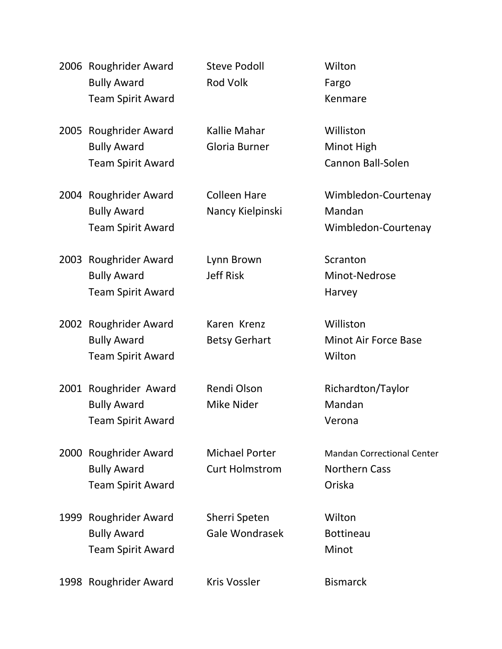|      | 2006 Roughrider Award<br><b>Bully Award</b><br><b>Team Spirit Award</b>   | <b>Steve Podoll</b><br><b>Rod Volk</b>         | Wilton<br>Fargo<br>Kenmare                                          |
|------|---------------------------------------------------------------------------|------------------------------------------------|---------------------------------------------------------------------|
| 2005 | Roughrider Award<br><b>Bully Award</b><br><b>Team Spirit Award</b>        | Kallie Mahar<br>Gloria Burner                  | Williston<br>Minot High<br><b>Cannon Ball-Solen</b>                 |
|      | 2004 Roughrider Award<br><b>Bully Award</b><br><b>Team Spirit Award</b>   | <b>Colleen Hare</b><br>Nancy Kielpinski        | Wimbledon-Courtenay<br>Mandan<br>Wimbledon-Courtenay                |
| 2003 | Roughrider Award<br><b>Bully Award</b><br><b>Team Spirit Award</b>        | Lynn Brown<br><b>Jeff Risk</b>                 | Scranton<br>Minot-Nedrose<br>Harvey                                 |
| 2002 | <b>Roughrider Award</b><br><b>Bully Award</b><br><b>Team Spirit Award</b> | Karen Krenz<br><b>Betsy Gerhart</b>            | Williston<br><b>Minot Air Force Base</b><br>Wilton                  |
| 2001 | Roughrider Award<br><b>Bully Award</b><br><b>Team Spirit Award</b>        | Rendi Olson<br>Mike Nider                      | Richardton/Taylor<br>Mandan<br>Verona                               |
| 2000 | Roughrider Award<br><b>Bully Award</b><br><b>Team Spirit Award</b>        | <b>Michael Porter</b><br><b>Curt Holmstrom</b> | <b>Mandan Correctional Center</b><br><b>Northern Cass</b><br>Oriska |
| 1999 | Roughrider Award<br><b>Bully Award</b><br><b>Team Spirit Award</b>        | Sherri Speten<br><b>Gale Wondrasek</b>         | Wilton<br><b>Bottineau</b><br>Minot                                 |
|      | 1998 Roughrider Award                                                     | <b>Kris Vossler</b>                            | <b>Bismarck</b>                                                     |